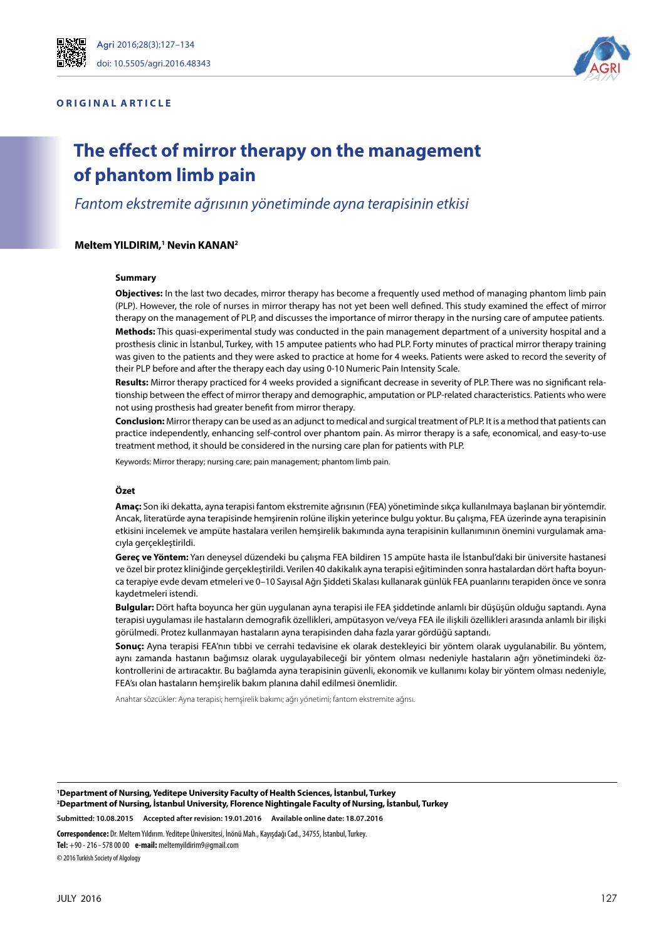#### **ORIGINAL ARTICLE**



# **The effect of mirror therapy on the management of phantom limb pain**

*Fantom ekstremite ağrısının yönetiminde ayna terapisinin etkisi*

#### $M$ eltem YILDIRIM,<sup>1</sup> Nevin KANAN<sup>2</sup>

#### **Summary**

**Objectives:** In the last two decades, mirror therapy has become a frequently used method of managing phantom limb pain (PLP). However, the role of nurses in mirror therapy has not yet been well defined. This study examined the effect of mirror therapy on the management of PLP, and discusses the importance of mirror therapy in the nursing care of amputee patients. **Methods:** This quasi-experimental study was conducted in the pain management department of a university hospital and a prosthesis clinic in İstanbul, Turkey, with 15 amputee patients who had PLP. Forty minutes of practical mirror therapy training was given to the patients and they were asked to practice at home for 4 weeks. Patients were asked to record the severity of their PLP before and after the therapy each day using 0-10 Numeric Pain Intensity Scale.

**Results:** Mirror therapy practiced for 4 weeks provided a significant decrease in severity of PLP. There was no significant relationship between the effect of mirror therapy and demographic, amputation or PLP-related characteristics. Patients who were not using prosthesis had greater benefit from mirror therapy.

**Conclusion:** Mirror therapy can be used as an adjunct to medical and surgical treatment of PLP. It is a method that patients can practice independently, enhancing self-control over phantom pain. As mirror therapy is a safe, economical, and easy-to-use treatment method, it should be considered in the nursing care plan for patients with PLP.

Keywords: Mirror therapy; nursing care; pain management; phantom limb pain.

#### **Özet**

**Amaç:** Son iki dekatta, ayna terapisi fantom ekstremite ağrısının (FEA) yönetiminde sıkça kullanılmaya başlanan bir yöntemdir. Ancak, literatürde ayna terapisinde hemşirenin rolüne ilişkin yeterince bulgu yoktur. Bu çalışma, FEA üzerinde ayna terapisinin etkisini incelemek ve ampüte hastalara verilen hemşirelik bakımında ayna terapisinin kullanımının önemini vurgulamak amacıyla gerçekleştirildi.

**Gereç ve Yöntem:** Yarı deneysel düzendeki bu çalışma FEA bildiren 15 ampüte hasta ile İstanbul'daki bir üniversite hastanesi ve özel bir protez kliniğinde gerçekleştirildi. Verilen 40 dakikalık ayna terapisi eğitiminden sonra hastalardan dört hafta boyunca terapiye evde devam etmeleri ve 0–10 Sayısal Ağrı Şiddeti Skalası kullanarak günlük FEA puanlarını terapiden önce ve sonra kaydetmeleri istendi.

**Bulgular:** Dört hafta boyunca her gün uygulanan ayna terapisi ile FEA şiddetinde anlamlı bir düşüşün olduğu saptandı. Ayna terapisi uygulaması ile hastaların demografik özellikleri, ampütasyon ve/veya FEA ile ilişkili özellikleri arasında anlamlı bir ilişki görülmedi. Protez kullanmayan hastaların ayna terapisinden daha fazla yarar gördüğü saptandı.

**Sonuç:** Ayna terapisi FEA'nın tıbbi ve cerrahi tedavisine ek olarak destekleyici bir yöntem olarak uygulanabilir. Bu yöntem, aynı zamanda hastanın bağımsız olarak uygulayabileceği bir yöntem olması nedeniyle hastaların ağrı yönetimindeki özkontrollerini de artıracaktır. Bu bağlamda ayna terapisinin güvenli, ekonomik ve kullanımı kolay bir yöntem olması nedeniyle, FEA'sı olan hastaların hemşirelik bakım planına dahil edilmesi önemlidir.

Anahtar sözcükler: Ayna terapisi; hemşirelik bakımı; ağrı yönetimi; fantom ekstremite ağrısı.

**1 Department of Nursing, Yeditepe University Faculty of Health Sciences, İstanbul, Turkey 2 Department of Nursing, İstanbul University, Florence Nightingale Faculty of Nursing, İstanbul, Turkey Submitted: 10.08.2015 Accepted after revision: 19.01.2016 Available online date: 18.07.2016**

**Correspondence:** Dr. Meltem Yıldırım. Yeditepe Üniversitesi, İnönü Mah., Kayışdağı Cad., 34755, İstanbul, Turkey.

**Tel:** +90 - 216 - 578 00 00 **e-mail:** meltemyildirim9@gmail.com

© 2016 Turkish Society of Algology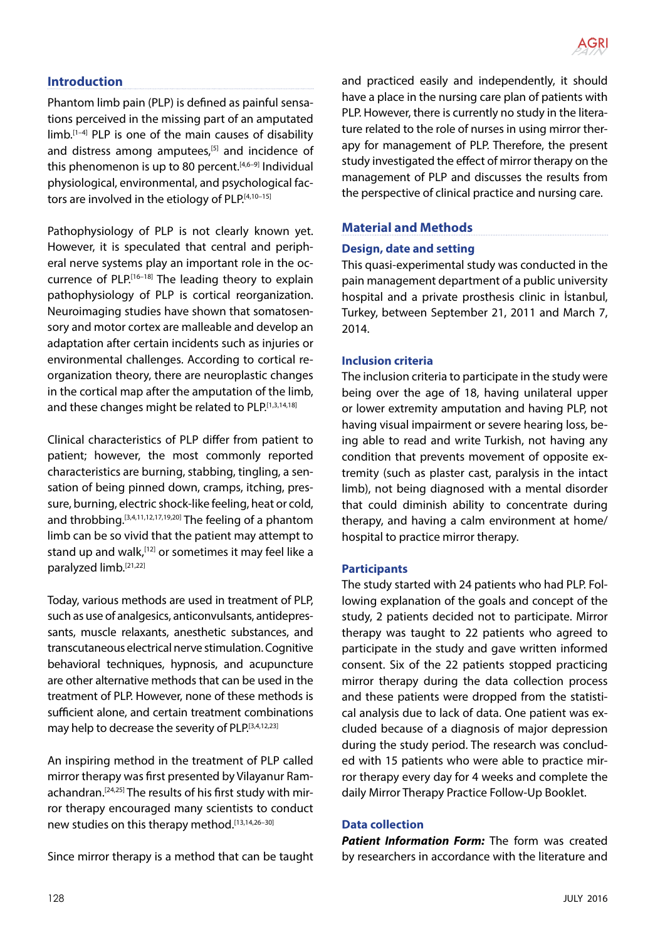

# **Introduction**

Phantom limb pain (PLP) is defined as painful sensations perceived in the missing part of an amputated  $\lim_{h \to 0}$  PLP is one of the main causes of disability and distress among amputees,<sup>[5]</sup> and incidence of this phenomenon is up to 80 percent. $[4,6-9]$  Individual physiological, environmental, and psychological factors are involved in the etiology of PLP.[4,10-15]

Pathophysiology of PLP is not clearly known yet. However, it is speculated that central and peripheral nerve systems play an important role in the occurrence of PLP.<sup>[16–18]</sup> The leading theory to explain pathophysiology of PLP is cortical reorganization. Neuroimaging studies have shown that somatosensory and motor cortex are malleable and develop an adaptation after certain incidents such as injuries or environmental challenges. According to cortical reorganization theory, there are neuroplastic changes in the cortical map after the amputation of the limb, and these changes might be related to PLP.[1,3,14,18]

Clinical characteristics of PLP differ from patient to patient; however, the most commonly reported characteristics are burning, stabbing, tingling, a sensation of being pinned down, cramps, itching, pressure, burning, electric shock-like feeling, heat or cold, and throbbing.[3,4,11,12,17,19,20] The feeling of a phantom limb can be so vivid that the patient may attempt to stand up and walk,<sup>[12]</sup> or sometimes it may feel like a paralyzed limb.[21,22]

Today, various methods are used in treatment of PLP, such as use of analgesics, anticonvulsants, antidepressants, muscle relaxants, anesthetic substances, and transcutaneous electrical nerve stimulation. Cognitive behavioral techniques, hypnosis, and acupuncture are other alternative methods that can be used in the treatment of PLP. However, none of these methods is sufficient alone, and certain treatment combinations may help to decrease the severity of PLP.[3,4,12,23]

An inspiring method in the treatment of PLP called mirror therapy was first presented by Vilayanur Ramachandran.[24,25] The results of his first study with mirror therapy encouraged many scientists to conduct new studies on this therapy method.[13,14,26-30]

Since mirror therapy is a method that can be taught

and practiced easily and independently, it should have a place in the nursing care plan of patients with PLP. However, there is currently no study in the literature related to the role of nurses in using mirror therapy for management of PLP. Therefore, the present study investigated the effect of mirror therapy on the management of PLP and discusses the results from the perspective of clinical practice and nursing care.

## **Material and Methods**

#### **Design, date and setting**

This quasi-experimental study was conducted in the pain management department of a public university hospital and a private prosthesis clinic in İstanbul, Turkey, between September 21, 2011 and March 7, 2014.

#### **Inclusion criteria**

The inclusion criteria to participate in the study were being over the age of 18, having unilateral upper or lower extremity amputation and having PLP, not having visual impairment or severe hearing loss, being able to read and write Turkish, not having any condition that prevents movement of opposite extremity (such as plaster cast, paralysis in the intact limb), not being diagnosed with a mental disorder that could diminish ability to concentrate during therapy, and having a calm environment at home/ hospital to practice mirror therapy.

#### **Participants**

The study started with 24 patients who had PLP. Following explanation of the goals and concept of the study, 2 patients decided not to participate. Mirror therapy was taught to 22 patients who agreed to participate in the study and gave written informed consent. Six of the 22 patients stopped practicing mirror therapy during the data collection process and these patients were dropped from the statistical analysis due to lack of data. One patient was excluded because of a diagnosis of major depression during the study period. The research was concluded with 15 patients who were able to practice mirror therapy every day for 4 weeks and complete the daily Mirror Therapy Practice Follow-Up Booklet.

#### **Data collection**

*Patient Information Form:* The form was created by researchers in accordance with the literature and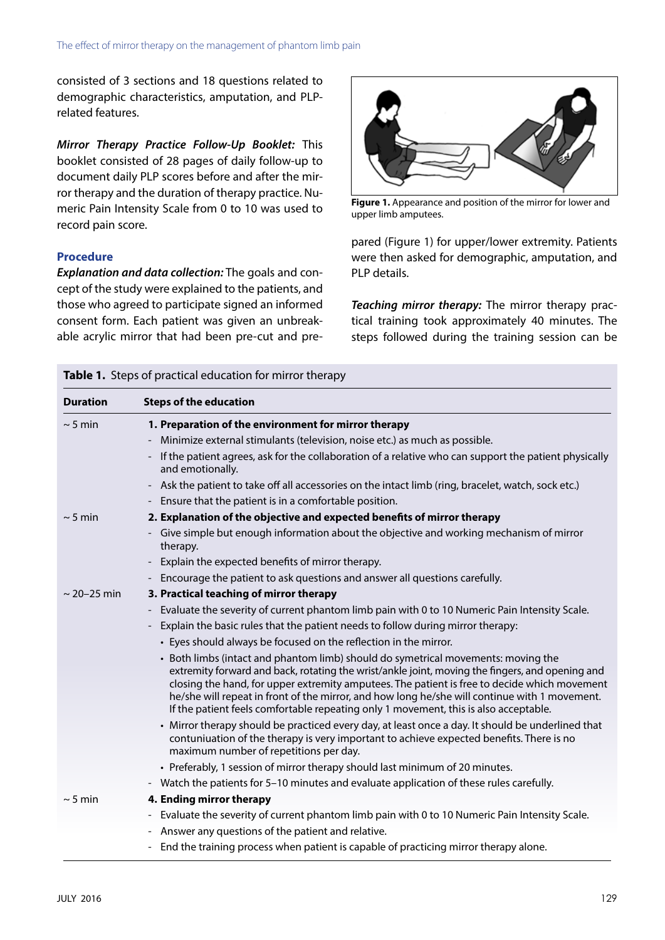consisted of 3 sections and 18 questions related to demographic characteristics, amputation, and PLPrelated features.

*Mirror Therapy Practice Follow-Up Booklet:* This booklet consisted of 28 pages of daily follow-up to document daily PLP scores before and after the mirror therapy and the duration of therapy practice. Numeric Pain Intensity Scale from 0 to 10 was used to record pain score.

#### **Procedure**

*Explanation and data collection:* The goals and concept of the study were explained to the patients, and those who agreed to participate signed an informed consent form. Each patient was given an unbreakable acrylic mirror that had been pre-cut and pre-



**Figure 1.** Appearance and position of the mirror for lower and upper limb amputees.

pared (Figure 1) for upper/lower extremity. Patients were then asked for demographic, amputation, and PLP details.

*Teaching mirror therapy:* The mirror therapy practical training took approximately 40 minutes. The steps followed during the training session can be

| <b>Duration</b>  | <b>Steps of the education</b>                                                                                                                                                                                                                                                                                                                                                                                                                                                 |  |  |  |  |  |
|------------------|-------------------------------------------------------------------------------------------------------------------------------------------------------------------------------------------------------------------------------------------------------------------------------------------------------------------------------------------------------------------------------------------------------------------------------------------------------------------------------|--|--|--|--|--|
| $\sim$ 5 min     | 1. Preparation of the environment for mirror therapy                                                                                                                                                                                                                                                                                                                                                                                                                          |  |  |  |  |  |
|                  | Minimize external stimulants (television, noise etc.) as much as possible.                                                                                                                                                                                                                                                                                                                                                                                                    |  |  |  |  |  |
|                  | If the patient agrees, ask for the collaboration of a relative who can support the patient physically<br>and emotionally.                                                                                                                                                                                                                                                                                                                                                     |  |  |  |  |  |
|                  | Ask the patient to take off all accessories on the intact limb (ring, bracelet, watch, sock etc.)<br>$\overline{\phantom{a}}$                                                                                                                                                                                                                                                                                                                                                 |  |  |  |  |  |
|                  | Ensure that the patient is in a comfortable position.                                                                                                                                                                                                                                                                                                                                                                                                                         |  |  |  |  |  |
| $\sim$ 5 min     | 2. Explanation of the objective and expected benefits of mirror therapy                                                                                                                                                                                                                                                                                                                                                                                                       |  |  |  |  |  |
|                  | Give simple but enough information about the objective and working mechanism of mirror<br>therapy.                                                                                                                                                                                                                                                                                                                                                                            |  |  |  |  |  |
|                  | Explain the expected benefits of mirror therapy.                                                                                                                                                                                                                                                                                                                                                                                                                              |  |  |  |  |  |
|                  | Encourage the patient to ask questions and answer all questions carefully.                                                                                                                                                                                                                                                                                                                                                                                                    |  |  |  |  |  |
| $\sim$ 20-25 min | 3. Practical teaching of mirror therapy                                                                                                                                                                                                                                                                                                                                                                                                                                       |  |  |  |  |  |
|                  | Evaluate the severity of current phantom limb pain with 0 to 10 Numeric Pain Intensity Scale.<br>$\overline{\phantom{a}}$                                                                                                                                                                                                                                                                                                                                                     |  |  |  |  |  |
|                  | Explain the basic rules that the patient needs to follow during mirror therapy:                                                                                                                                                                                                                                                                                                                                                                                               |  |  |  |  |  |
|                  | • Eyes should always be focused on the reflection in the mirror.                                                                                                                                                                                                                                                                                                                                                                                                              |  |  |  |  |  |
|                  | • Both limbs (intact and phantom limb) should do symetrical movements: moving the<br>extremity forward and back, rotating the wrist/ankle joint, moving the fingers, and opening and<br>closing the hand, for upper extremity amputees. The patient is free to decide which movement<br>he/she will repeat in front of the mirror, and how long he/she will continue with 1 movement.<br>If the patient feels comfortable repeating only 1 movement, this is also acceptable. |  |  |  |  |  |
|                  | • Mirror therapy should be practiced every day, at least once a day. It should be underlined that<br>contuniuation of the therapy is very important to achieve expected benefits. There is no<br>maximum number of repetitions per day.                                                                                                                                                                                                                                       |  |  |  |  |  |
|                  | • Preferably, 1 session of mirror therapy should last minimum of 20 minutes.                                                                                                                                                                                                                                                                                                                                                                                                  |  |  |  |  |  |
|                  | Watch the patients for 5-10 minutes and evaluate application of these rules carefully.                                                                                                                                                                                                                                                                                                                                                                                        |  |  |  |  |  |
| $\sim$ 5 min     | 4. Ending mirror therapy                                                                                                                                                                                                                                                                                                                                                                                                                                                      |  |  |  |  |  |
|                  | Evaluate the severity of current phantom limb pain with 0 to 10 Numeric Pain Intensity Scale.                                                                                                                                                                                                                                                                                                                                                                                 |  |  |  |  |  |
|                  | Answer any questions of the patient and relative.                                                                                                                                                                                                                                                                                                                                                                                                                             |  |  |  |  |  |
|                  | End the training process when patient is capable of practicing mirror therapy alone.                                                                                                                                                                                                                                                                                                                                                                                          |  |  |  |  |  |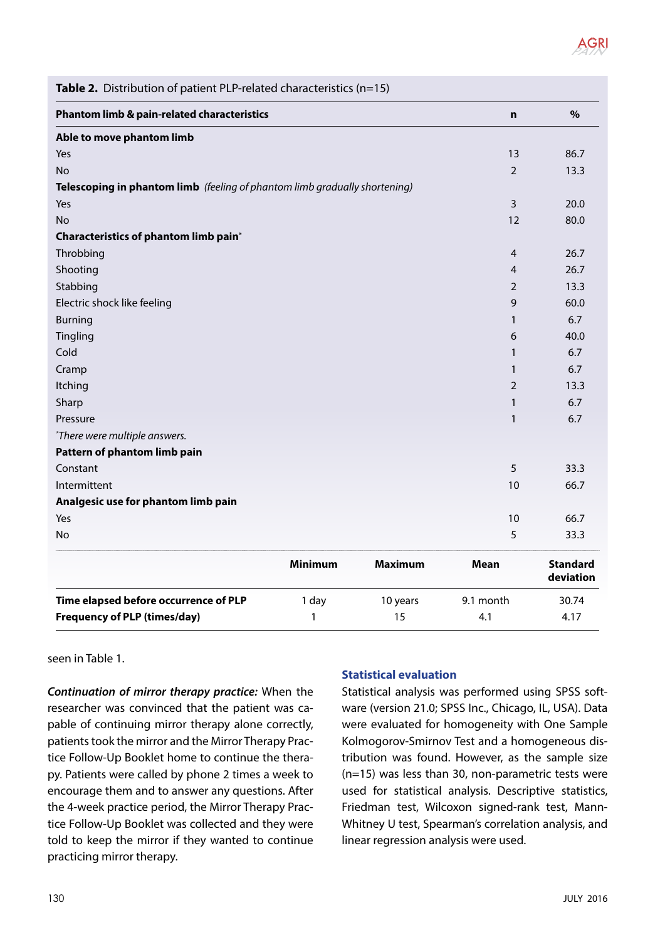

| Table 2. Distribution of patient PLP-related characteristics (n=15)        |                |                |                |                              |  |  |  |
|----------------------------------------------------------------------------|----------------|----------------|----------------|------------------------------|--|--|--|
| Phantom limb & pain-related characteristics                                | n              | $\%$           |                |                              |  |  |  |
| Able to move phantom limb                                                  |                |                |                |                              |  |  |  |
| Yes                                                                        |                |                | 13             | 86.7                         |  |  |  |
| <b>No</b>                                                                  |                |                | $\overline{2}$ | 13.3                         |  |  |  |
| Telescoping in phantom limb (feeling of phantom limb gradually shortening) |                |                |                |                              |  |  |  |
| Yes                                                                        |                |                | 3              | 20.0                         |  |  |  |
| No.                                                                        |                |                | 12             | 80.0                         |  |  |  |
| Characteristics of phantom limb pain*                                      |                |                |                |                              |  |  |  |
| Throbbing                                                                  |                |                | $\overline{4}$ | 26.7                         |  |  |  |
| Shooting                                                                   |                |                | 4              | 26.7                         |  |  |  |
| Stabbing                                                                   |                |                | 2              | 13.3                         |  |  |  |
| Electric shock like feeling                                                |                |                | 9              | 60.0                         |  |  |  |
| <b>Burning</b>                                                             |                |                | 1              | 6.7                          |  |  |  |
| Tingling                                                                   |                |                | 6              | 40.0                         |  |  |  |
| Cold                                                                       |                |                | $\mathbf{1}$   | 6.7                          |  |  |  |
| Cramp                                                                      |                |                | 1              | 6.7                          |  |  |  |
| Itching                                                                    |                |                | 2              | 13.3                         |  |  |  |
| Sharp                                                                      |                |                | 1              | 6.7                          |  |  |  |
| Pressure                                                                   |                |                | $\mathbf{1}$   | 6.7                          |  |  |  |
| *There were multiple answers.                                              |                |                |                |                              |  |  |  |
| Pattern of phantom limb pain                                               |                |                |                |                              |  |  |  |
| Constant                                                                   |                |                | 5              | 33.3                         |  |  |  |
| Intermittent                                                               |                |                | 10             | 66.7                         |  |  |  |
| Analgesic use for phantom limb pain                                        |                |                |                |                              |  |  |  |
| Yes                                                                        |                |                | 10             | 66.7                         |  |  |  |
| No                                                                         |                |                | 5              | 33.3                         |  |  |  |
|                                                                            | <b>Minimum</b> | <b>Maximum</b> | Mean           | <b>Standard</b><br>deviation |  |  |  |
| Time elapsed before occurrence of PLP                                      | 1 day          | 10 years       | 9.1 month      | 30.74                        |  |  |  |
| <b>Frequency of PLP (times/day)</b>                                        | 1              | 15             | 4.1            | 4.17                         |  |  |  |

seen in Table 1.

*Continuation of mirror therapy practice:* When the researcher was convinced that the patient was capable of continuing mirror therapy alone correctly, patients took the mirror and the Mirror Therapy Practice Follow-Up Booklet home to continue the therapy. Patients were called by phone 2 times a week to encourage them and to answer any questions. After the 4-week practice period, the Mirror Therapy Practice Follow-Up Booklet was collected and they were told to keep the mirror if they wanted to continue practicing mirror therapy.

### **Statistical evaluation**

Statistical analysis was performed using SPSS software (version 21.0; SPSS Inc., Chicago, IL, USA). Data were evaluated for homogeneity with One Sample Kolmogorov-Smirnov Test and a homogeneous distribution was found. However, as the sample size (n=15) was less than 30, non-parametric tests were used for statistical analysis. Descriptive statistics, Friedman test, Wilcoxon signed-rank test, Mann-Whitney U test, Spearman's correlation analysis, and linear regression analysis were used.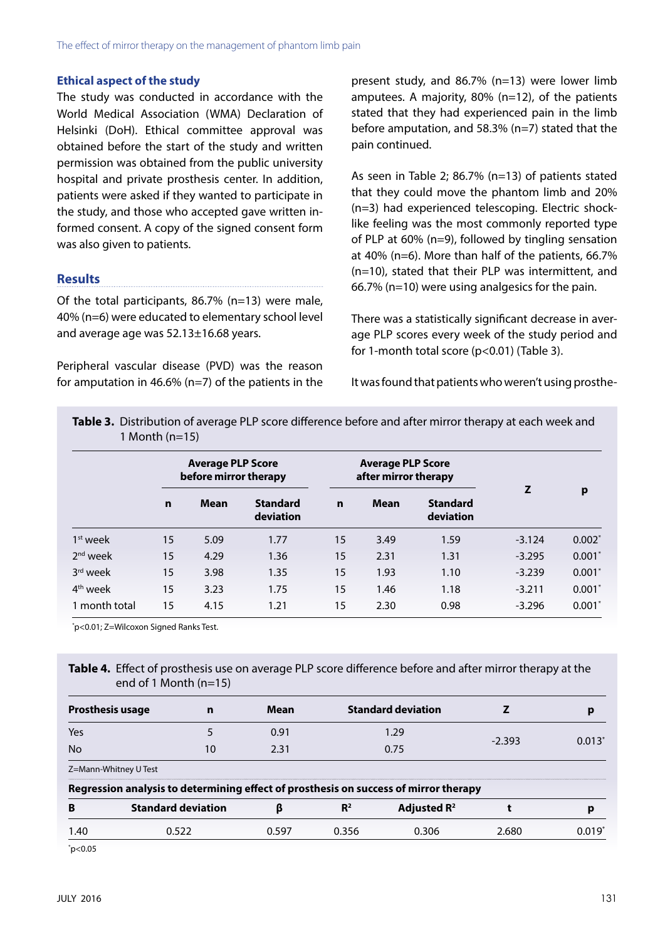#### **Ethical aspect of the study**

The study was conducted in accordance with the World Medical Association (WMA) Declaration of Helsinki (DoH). Ethical committee approval was obtained before the start of the study and written permission was obtained from the public university hospital and private prosthesis center. In addition, patients were asked if they wanted to participate in the study, and those who accepted gave written informed consent. A copy of the signed consent form was also given to patients.

### **Results**

Of the total participants, 86.7% (n=13) were male, 40% (n=6) were educated to elementary school level and average age was 52.13±16.68 years.

Peripheral vascular disease (PVD) was the reason for amputation in 46.6% (n=7) of the patients in the present study, and 86.7% (n=13) were lower limb amputees. A majority, 80% (n=12), of the patients stated that they had experienced pain in the limb before amputation, and 58.3% (n=7) stated that the pain continued.

As seen in Table 2; 86.7% (n=13) of patients stated that they could move the phantom limb and 20% (n=3) had experienced telescoping. Electric shocklike feeling was the most commonly reported type of PLP at 60% (n=9), followed by tingling sensation at 40% (n=6). More than half of the patients, 66.7% (n=10), stated that their PLP was intermittent, and 66.7% (n=10) were using analgesics for the pain.

There was a statistically significant decrease in average PLP scores every week of the study period and for 1-month total score (p<0.01) (Table 3).

It was found that patients who weren't using prosthe-

| Table 3. Distribution of average PLP score difference before and after mirror therapy at each week and |
|--------------------------------------------------------------------------------------------------------|
| $1$ Month (n=15)                                                                                       |

|                      | <b>Average PLP Score</b><br>before mirror therapy |             |                              | <b>Average PLP Score</b><br>after mirror therapy |             |                              |          |          |
|----------------------|---------------------------------------------------|-------------|------------------------------|--------------------------------------------------|-------------|------------------------------|----------|----------|
|                      | n                                                 | <b>Mean</b> | <b>Standard</b><br>deviation | $\mathbf n$                                      | <b>Mean</b> | <b>Standard</b><br>deviation | Z        | p        |
| 1 <sup>st</sup> week | 15                                                | 5.09        | 1.77                         | 15                                               | 3.49        | 1.59                         | $-3.124$ | $0.002*$ |
| $2nd$ week           | 15                                                | 4.29        | 1.36                         | 15                                               | 2.31        | 1.31                         | $-3.295$ | $0.001*$ |
| 3rd week             | 15                                                | 3.98        | 1.35                         | 15                                               | 1.93        | 1.10                         | $-3.239$ | $0.001*$ |
| 4 <sup>th</sup> week | 15                                                | 3.23        | 1.75                         | 15                                               | 1.46        | 1.18                         | $-3.211$ | $0.001*$ |
| 1 month total        | 15                                                | 4.15        | 1.21                         | 15                                               | 2.30        | 0.98                         | $-3.296$ | $0.001*$ |

\* p<0.01; Z=Wilcoxon Signed Ranks Test.

**Table 4.** Effect of prosthesis use on average PLP score difference before and after mirror therapy at the end of 1 Month (n=15)

| <b>Prosthesis usage</b><br>n    |                                                                                      | <b>Mean</b> | <b>Standard deviation</b> |                         |          | D     |
|---------------------------------|--------------------------------------------------------------------------------------|-------------|---------------------------|-------------------------|----------|-------|
|                                 |                                                                                      |             |                           |                         |          |       |
| Yes                             |                                                                                      | 0.91        | 1.29                      |                         | $-2.393$ | 0.013 |
| No.                             | 10                                                                                   | 2.31        | 0.75                      |                         |          |       |
|                                 | Z=Mann-Whitney U Test                                                                |             |                           |                         |          |       |
|                                 | Regression analysis to determining effect of prosthesis on success of mirror therapy |             |                           |                         |          |       |
| B                               | <b>Standard deviation</b>                                                            |             | R <sup>2</sup>            | Adjusted R <sup>2</sup> |          | р     |
| 1.40                            | 0.522                                                                                | 0.597       | 0.356<br>0.306            |                         | 2.680    | 0.019 |
| $*$ $\sim$ $\sim$ $\sim$ $\sim$ |                                                                                      |             |                           |                         |          |       |

\* p<0.05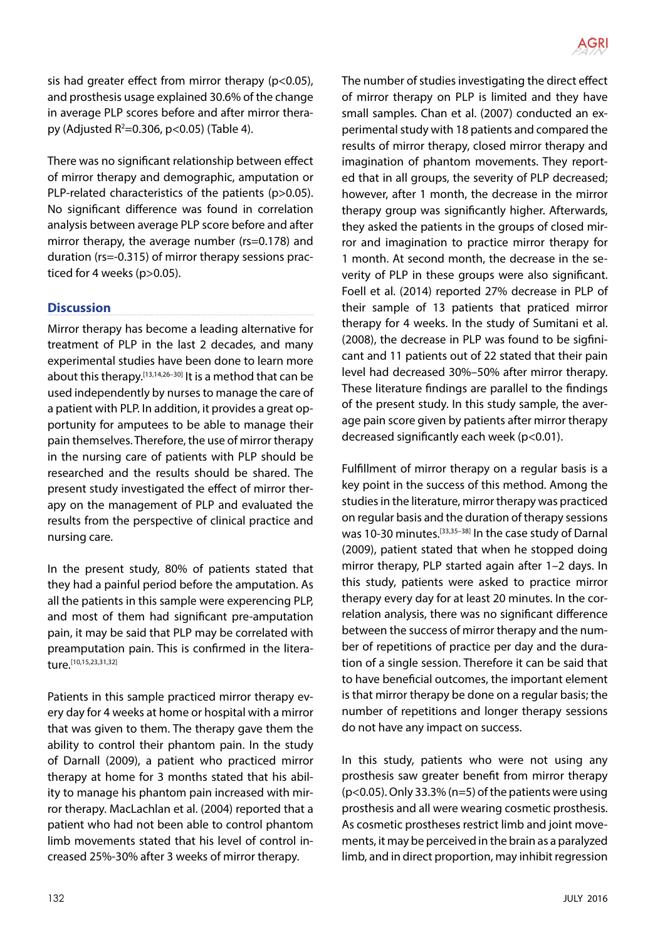

sis had greater effect from mirror therapy (p<0.05), and prosthesis usage explained 30.6% of the change in average PLP scores before and after mirror therapy (Adjusted R<sup>2</sup>=0.306, p<0.05) (Table 4).

There was no significant relationship between effect of mirror therapy and demographic, amputation or PLP-related characteristics of the patients (p>0.05). No significant difference was found in correlation analysis between average PLP score before and after mirror therapy, the average number (rs=0.178) and duration (rs=-0.315) of mirror therapy sessions practiced for 4 weeks (p>0.05).

### **Discussion**

Mirror therapy has become a leading alternative for treatment of PLP in the last 2 decades, and many experimental studies have been done to learn more about this therapy.<sup>[13,14,26-30]</sup> It is a method that can be used independently by nurses to manage the care of a patient with PLP. In addition, it provides a great opportunity for amputees to be able to manage their pain themselves. Therefore, the use of mirror therapy in the nursing care of patients with PLP should be researched and the results should be shared. The present study investigated the effect of mirror therapy on the management of PLP and evaluated the results from the perspective of clinical practice and nursing care.

In the present study, 80% of patients stated that they had a painful period before the amputation. As all the patients in this sample were experencing PLP, and most of them had significant pre-amputation pain, it may be said that PLP may be correlated with preamputation pain. This is confirmed in the literature.[10,15,23,31,32]

Patients in this sample practiced mirror therapy every day for 4 weeks at home or hospital with a mirror that was given to them. The therapy gave them the ability to control their phantom pain. In the study of Darnall (2009), a patient who practiced mirror therapy at home for 3 months stated that his ability to manage his phantom pain increased with mirror therapy. MacLachlan et al. (2004) reported that a patient who had not been able to control phantom limb movements stated that his level of control increased 25%-30% after 3 weeks of mirror therapy.

The number of studies investigating the direct effect of mirror therapy on PLP is limited and they have small samples. Chan et al. (2007) conducted an experimental study with 18 patients and compared the results of mirror therapy, closed mirror therapy and imagination of phantom movements. They reported that in all groups, the severity of PLP decreased; however, after 1 month, the decrease in the mirror therapy group was significantly higher. Afterwards, they asked the patients in the groups of closed mirror and imagination to practice mirror therapy for 1 month. At second month, the decrease in the severity of PLP in these groups were also significant. Foell et al. (2014) reported 27% decrease in PLP of their sample of 13 patients that praticed mirror therapy for 4 weeks. In the study of Sumitani et al. (2008), the decrease in PLP was found to be sigfinicant and 11 patients out of 22 stated that their pain level had decreased 30%–50% after mirror therapy. These literature findings are parallel to the findings of the present study. In this study sample, the average pain score given by patients after mirror therapy decreased significantly each week (p<0.01).

Fulfillment of mirror therapy on a regular basis is a key point in the success of this method. Among the studies in the literature, mirror therapy was practiced on regular basis and the duration of therapy sessions was 10-30 minutes.<sup>[33,35-38]</sup> In the case study of Darnal (2009), patient stated that when he stopped doing mirror therapy, PLP started again after 1–2 days. In this study, patients were asked to practice mirror therapy every day for at least 20 minutes. In the correlation analysis, there was no significant difference between the success of mirror therapy and the number of repetitions of practice per day and the duration of a single session. Therefore it can be said that to have beneficial outcomes, the important element is that mirror therapy be done on a regular basis; the number of repetitions and longer therapy sessions do not have any impact on success.

In this study, patients who were not using any prosthesis saw greater benefit from mirror therapy  $(p<0.05)$ . Only 33.3% (n=5) of the patients were using prosthesis and all were wearing cosmetic prosthesis. As cosmetic prostheses restrict limb and joint movements, it may be perceived in the brain as a paralyzed limb, and in direct proportion, may inhibit regression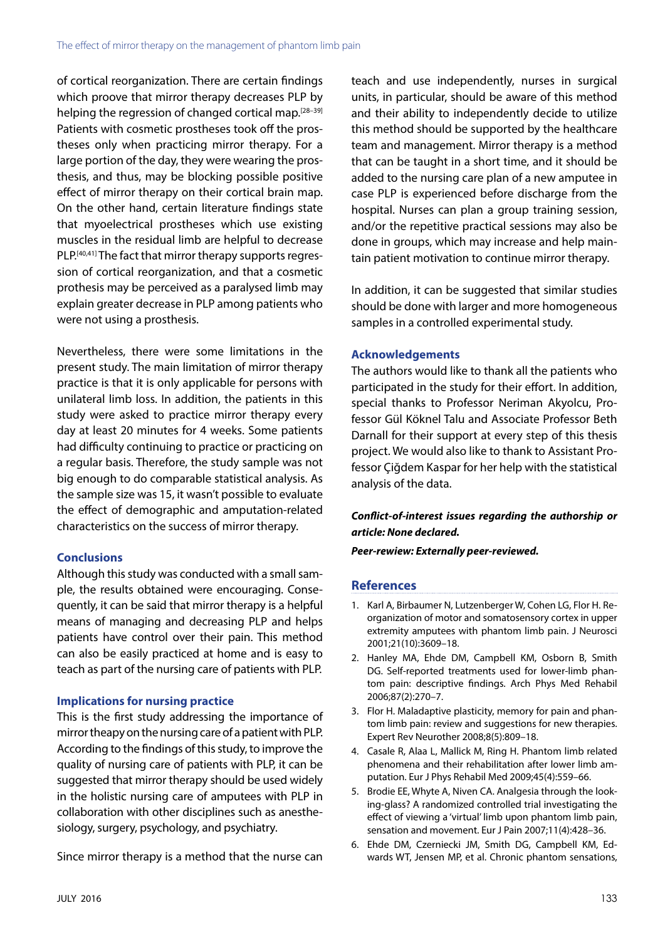of cortical reorganization. There are certain findings which proove that mirror therapy decreases PLP by helping the regression of changed cortical map.<sup>[28–39]</sup> Patients with cosmetic prostheses took off the prostheses only when practicing mirror therapy. For a large portion of the day, they were wearing the prosthesis, and thus, may be blocking possible positive effect of mirror therapy on their cortical brain map. On the other hand, certain literature findings state that myoelectrical prostheses which use existing muscles in the residual limb are helpful to decrease PLP.<sup>[40,41]</sup> The fact that mirror therapy supports regression of cortical reorganization, and that a cosmetic prothesis may be perceived as a paralysed limb may explain greater decrease in PLP among patients who were not using a prosthesis.

Nevertheless, there were some limitations in the present study. The main limitation of mirror therapy practice is that it is only applicable for persons with unilateral limb loss. In addition, the patients in this study were asked to practice mirror therapy every day at least 20 minutes for 4 weeks. Some patients had difficulty continuing to practice or practicing on a regular basis. Therefore, the study sample was not big enough to do comparable statistical analysis. As the sample size was 15, it wasn't possible to evaluate the effect of demographic and amputation-related characteristics on the success of mirror therapy.

# **Conclusions**

Although this study was conducted with a small sample, the results obtained were encouraging. Consequently, it can be said that mirror therapy is a helpful means of managing and decreasing PLP and helps patients have control over their pain. This method can also be easily practiced at home and is easy to teach as part of the nursing care of patients with PLP.

# **Implications for nursing practice**

This is the first study addressing the importance of mirror theapy on the nursing care of a patient with PLP. According to the findings of this study, to improve the quality of nursing care of patients with PLP, it can be suggested that mirror therapy should be used widely in the holistic nursing care of amputees with PLP in collaboration with other disciplines such as anesthesiology, surgery, psychology, and psychiatry.

Since mirror therapy is a method that the nurse can

teach and use independently, nurses in surgical units, in particular, should be aware of this method and their ability to independently decide to utilize this method should be supported by the healthcare team and management. Mirror therapy is a method that can be taught in a short time, and it should be added to the nursing care plan of a new amputee in case PLP is experienced before discharge from the hospital. Nurses can plan a group training session, and/or the repetitive practical sessions may also be done in groups, which may increase and help maintain patient motivation to continue mirror therapy.

In addition, it can be suggested that similar studies should be done with larger and more homogeneous samples in a controlled experimental study.

# **Acknowledgements**

The authors would like to thank all the patients who participated in the study for their effort. In addition, special thanks to Professor Neriman Akyolcu, Professor Gül Köknel Talu and Associate Professor Beth Darnall for their support at every step of this thesis project. We would also like to thank to Assistant Professor Çiğdem Kaspar for her help with the statistical analysis of the data.

# *Conflict-of-interest issues regarding the authorship or article: None declared.*

## *Peer-rewiew: Externally peer-reviewed.*

# **References**

- 1. Karl A, Birbaumer N, Lutzenberger W, Cohen LG, Flor H. Reorganization of motor and somatosensory cortex in upper extremity amputees with phantom limb pain. J Neurosci 2001;21(10):3609–18.
- 2. Hanley MA, Ehde DM, Campbell KM, Osborn B, Smith DG. Self-reported treatments used for lower-limb phantom pain: descriptive findings. Arch Phys Med Rehabil 2006;87(2):270–7.
- 3. Flor H. Maladaptive plasticity, memory for pain and phantom limb pain: review and suggestions for new therapies. Expert Rev Neurother 2008;8(5):809–18.
- 4. Casale R, Alaa L, Mallick M, Ring H. Phantom limb related phenomena and their rehabilitation after lower limb amputation. Eur J Phys Rehabil Med 2009;45(4):559–66.
- 5. Brodie EE, Whyte A, Niven CA. Analgesia through the looking-glass? A randomized controlled trial investigating the effect of viewing a 'virtual' limb upon phantom limb pain, sensation and movement. Eur J Pain 2007;11(4):428–36.
- 6. Ehde DM, Czerniecki JM, Smith DG, Campbell KM, Edwards WT, Jensen MP, et al. Chronic phantom sensations,